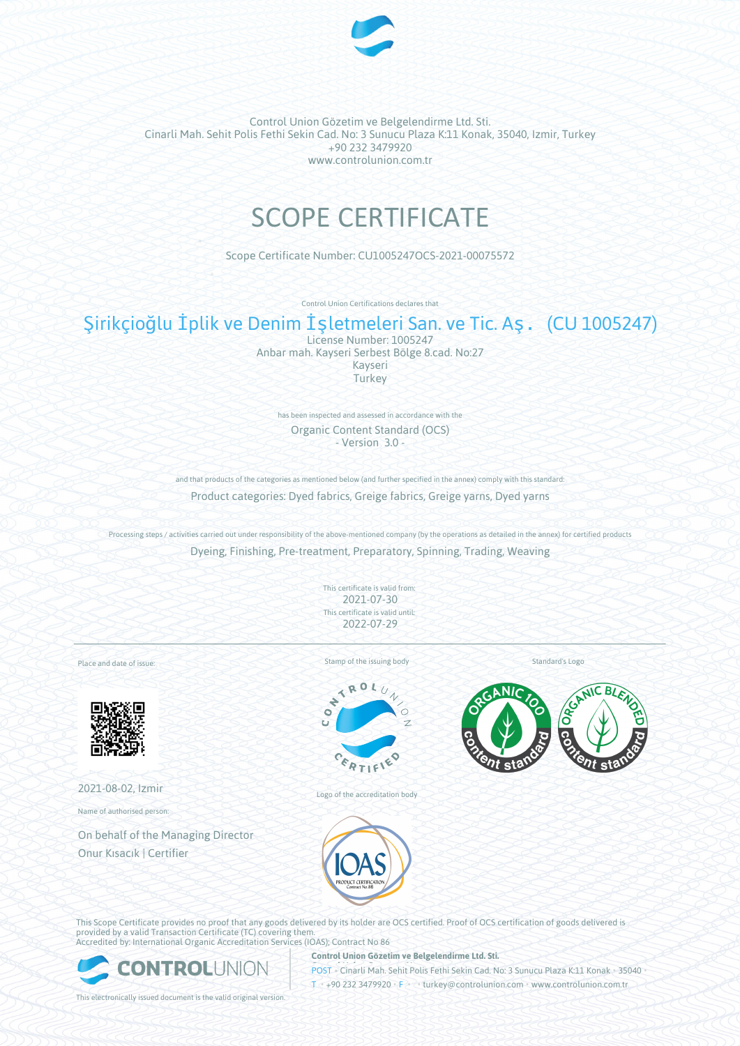

# SCOPE CERTIFICATE

Scope Certificate Number: CU1005247OCS-2021-00075572

Control Union Certifications declares that

# Şirikçioğlu İplik ve Denim İşletmeleri San. ve Tic. Aş. (CU 1005247)

License Number: 1005247 Anbar mah. Kayseri Serbest Bölge 8.cad. No:27 Kayseri **Turkey** 

has been inspected and assessed in accordance with the Organic Content Standard (OCS) - Version 3.0 -

and that products of the categories as mentioned below (and further specified in the annex) comply with this standard: Product categories: Dyed fabrics, Greige fabrics, Greige yarns, Dyed yarns

Processing steps / activities carried out under responsibility of the above-mentioned company (by the operations as detailed in the annex) for certified products Dyeing, Finishing, Pre-treatment, Preparatory, Spinning, Trading, Weaving

> This certificate is valid from: 2021-07-30 This certificate is valid until: 2022-07-29

Place and date of issue:



2021-08-02, Izmir

Name of authorised person:

On behalf of the Managing Director Onur Kısacık | Certifier

Stamp of the issuing body



Logo of the accreditation body

Standard's Logo





This Scope Certificate provides no proof that any goods delivered by its holder are OCS certified. Proof of OCS certification of goods delivered is provided by a valid Transaction Certificate (TC) covering them. Accredited by: International Organic Accreditation Services (IOAS); Contract No 86



**Control Union Gözetim ve Belgelendirme Ltd. Sti.**

**POST • Cinarli Mah. Sehit Polis Fethi Sekin Cad. No: 3 Sunucu Plaza K:11 Konak • 35040** T • +90 232 3479920 • F • • turkey@controlunion.com • www.controlunion.com.tr

This electronically issued document is the valid original version.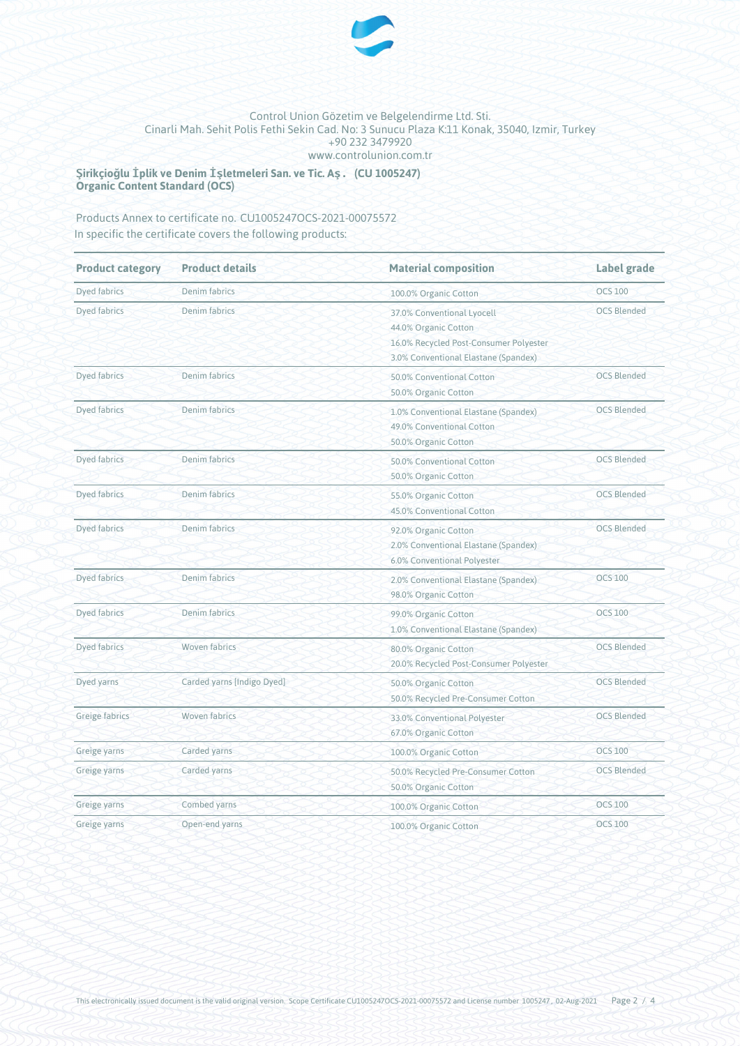

**Şirikçioğlu İplik ve Denim İşletmeleri San. ve Tic. Aş. (CU 1005247) Organic Content Standard (OCS)**

# Products Annex to certificate no. CU1005247OCS-2021-00075572 In specific the certificate covers the following products:

| <b>Product category</b> | <b>Product details</b>     | <b>Material composition</b>                                                                                                          | <b>Label grade</b><br><b>OCS 100</b> |  |
|-------------------------|----------------------------|--------------------------------------------------------------------------------------------------------------------------------------|--------------------------------------|--|
| <b>Dyed fabrics</b>     | Denim fabrics              | 100.0% Organic Cotton                                                                                                                |                                      |  |
| Dyed fabrics            | Denim fabrics              | 37.0% Conventional Lyocell<br>44.0% Organic Cotton<br>16.0% Recycled Post-Consumer Polyester<br>3.0% Conventional Elastane (Spandex) | <b>OCS Blended</b>                   |  |
| Dyed fabrics            | Denim fabrics              | 50.0% Conventional Cotton<br>50.0% Organic Cotton                                                                                    | <b>OCS Blended</b>                   |  |
| Dyed fabrics            | Denim fabrics              | 1.0% Conventional Elastane (Spandex)<br>49.0% Conventional Cotton<br>50.0% Organic Cotton                                            | <b>OCS Blended</b>                   |  |
| Dyed fabrics            | Denim fabrics              | 50.0% Conventional Cotton<br>50.0% Organic Cotton                                                                                    | <b>OCS Blended</b>                   |  |
| Dyed fabrics            | Denim fabrics              | 55.0% Organic Cotton<br>45.0% Conventional Cotton                                                                                    | <b>OCS Blended</b>                   |  |
| Dyed fabrics            | Denim fabrics              | 92.0% Organic Cotton<br>2.0% Conventional Elastane (Spandex)<br>6.0% Conventional Polyester                                          | <b>OCS Blended</b>                   |  |
| <b>Dyed fabrics</b>     | Denim fabrics              | 2.0% Conventional Elastane (Spandex)<br>98.0% Organic Cotton                                                                         | <b>OCS 100</b>                       |  |
| Dyed fabrics            | Denim fabrics              | <b>OCS 100</b><br>99.0% Organic Cotton<br>1.0% Conventional Elastane (Spandex)                                                       |                                      |  |
| Dyed fabrics            | <b>Woven fabrics</b>       | <b>OCS Blended</b><br>80.0% Organic Cotton<br>20.0% Recycled Post-Consumer Polyester                                                 |                                      |  |
| Dyed yarns              | Carded yarns [Indigo Dyed] | 50.0% Organic Cotton<br>50.0% Recycled Pre-Consumer Cotton                                                                           | <b>OCS Blended</b>                   |  |
| Greige fabrics          | <b>Woven fabrics</b>       | <b>OCS Blended</b><br>33.0% Conventional Polyester<br>67.0% Organic Cotton                                                           |                                      |  |
| Greige yarns            | Carded yarns               | 100.0% Organic Cotton                                                                                                                | <b>OCS 100</b>                       |  |
| Greige yarns            | Carded yarns               | <b>OCS Blended</b><br>50.0% Recycled Pre-Consumer Cotton<br>50.0% Organic Cotton                                                     |                                      |  |
| Greige yarns            | Combed yarns               | 100.0% Organic Cotton                                                                                                                | <b>OCS 100</b>                       |  |
| Greige yarns            | Open-end yarns             | 100.0% Organic Cotton                                                                                                                | <b>OCS 100</b>                       |  |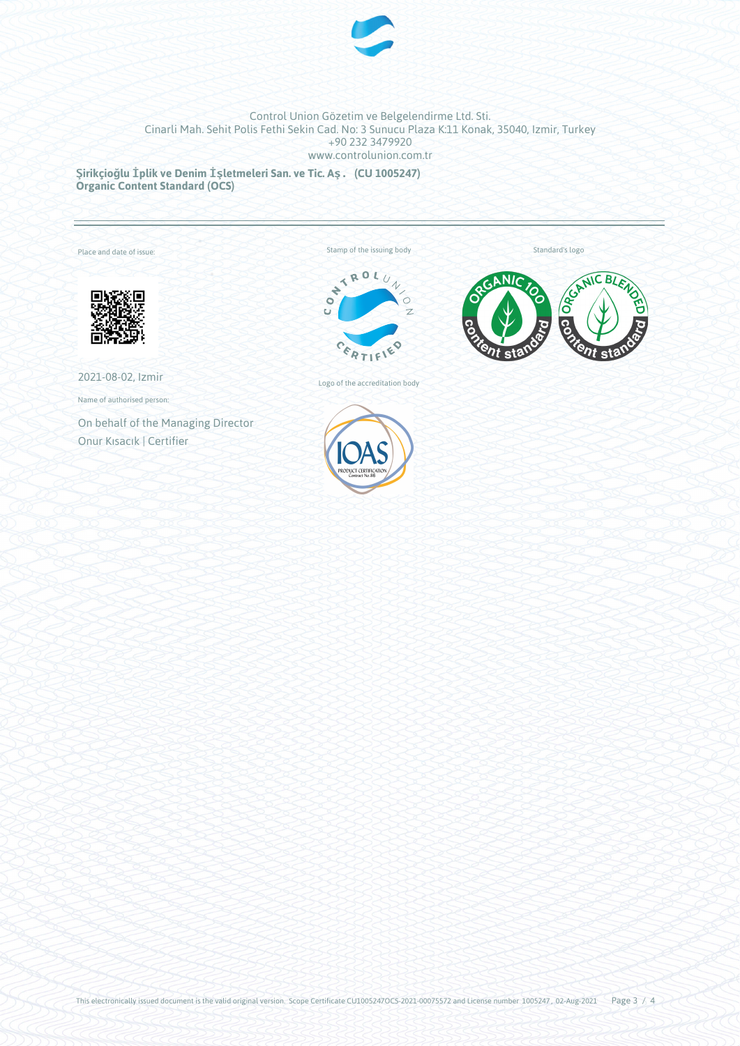

**Şirikçioğlu İplik ve Denim İşletmeleri San. ve Tic. Aş. (CU 1005247) Organic Content Standard (OCS)**

Annex to compare the compact of the compact of the compact of the compact of the compact of the compact of the

Place and date of issue:

Standard's logo



2021-08-02, Izmir

Name of authorised person:

On behalf of the Managing Director Onur Kısacık | Certifier

Stamp of the issuing body<br> $\begin{pmatrix} 1 & \mathbf{R} & \mathbf{0} & \mathbf{L} & \mathbf{0} & \mathbf{L} & \mathbf{0} & \mathbf{L} & \mathbf{0} & \mathbf{0} & \mathbf{0} & \mathbf{0} & \mathbf{0} & \mathbf{0} & \mathbf{0} & \mathbf{0} & \mathbf{0} & \mathbf{0} & \mathbf{0} & \mathbf{0} & \mathbf{0} & \mathbf{0} & \mathbf{0} & \mathbf{0} & \mathbf{0} & \mathbf{0} & \mathbf{0} & \mathbf$ 



Logo of the accreditation body